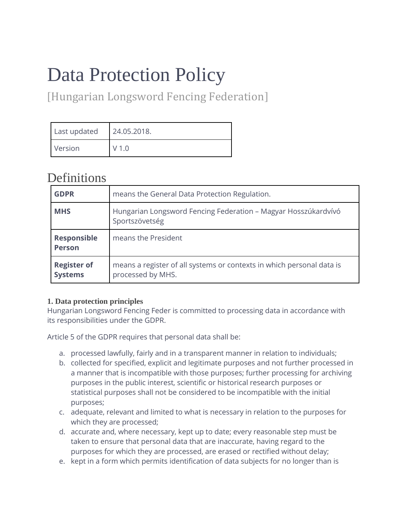# Data Protection Policy

[Hungarian Longsword Fencing Federation]

| Last updated | 24.05.2018.      |
|--------------|------------------|
| Version      | V <sub>1.0</sub> |

## **Definitions**

| <b>GDPR</b>                          | means the General Data Protection Regulation.                                              |
|--------------------------------------|--------------------------------------------------------------------------------------------|
| <b>MHS</b>                           | Hungarian Longsword Fencing Federation - Magyar Hosszúkardvívó<br>Sportszövetség           |
| <b>Responsible</b><br><b>Person</b>  | means the President                                                                        |
| <b>Register of</b><br><b>Systems</b> | means a register of all systems or contexts in which personal data is<br>processed by MHS. |

### **1. Data protection principles**

Hungarian Longsword Fencing Feder is committed to processing data in accordance with its responsibilities under the GDPR.

Article 5 of the GDPR requires that personal data shall be:

- a. processed lawfully, fairly and in a transparent manner in relation to individuals;
- b. collected for specified, explicit and legitimate purposes and not further processed in a manner that is incompatible with those purposes; further processing for archiving purposes in the public interest, scientific or historical research purposes or statistical purposes shall not be considered to be incompatible with the initial purposes;
- c. adequate, relevant and limited to what is necessary in relation to the purposes for which they are processed;
- d. accurate and, where necessary, kept up to date; every reasonable step must be taken to ensure that personal data that are inaccurate, having regard to the purposes for which they are processed, are erased or rectified without delay;
- e. kept in a form which permits identification of data subjects for no longer than is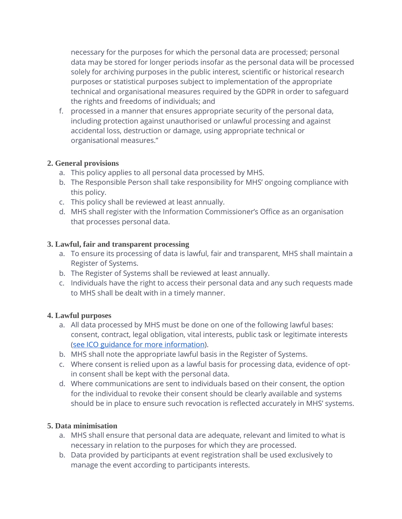necessary for the purposes for which the personal data are processed; personal data may be stored for longer periods insofar as the personal data will be processed solely for archiving purposes in the public interest, scientific or historical research purposes or statistical purposes subject to implementation of the appropriate technical and organisational measures required by the GDPR in order to safeguard the rights and freedoms of individuals; and

f. processed in a manner that ensures appropriate security of the personal data, including protection against unauthorised or unlawful processing and against accidental loss, destruction or damage, using appropriate technical or organisational measures."

#### **2. General provisions**

- a. This policy applies to all personal data processed by MHS.
- b. The Responsible Person shall take responsibility for MHS' ongoing compliance with this policy.
- c. This policy shall be reviewed at least annually.
- d. MHS shall register with the Information Commissioner's Office as an organisation that processes personal data.

#### **3. Lawful, fair and transparent processing**

- a. To ensure its processing of data is lawful, fair and transparent, MHS shall maintain a Register of Systems.
- b. The Register of Systems shall be reviewed at least annually.
- c. Individuals have the right to access their personal data and any such requests made to MHS shall be dealt with in a timely manner.

#### **4. Lawful purposes**

- a. All data processed by MHS must be done on one of the following lawful bases: consent, contract, legal obligation, vital interests, public task or legitimate interests [\(see ICO guidance for more information\)](https://ico.org.uk/for-organisations/guide-to-the-general-data-protection-regulation-gdpr/lawful-basis-for-processing/).
- b. MHS shall note the appropriate lawful basis in the Register of Systems.
- c. Where consent is relied upon as a lawful basis for processing data, evidence of optin consent shall be kept with the personal data.
- d. Where communications are sent to individuals based on their consent, the option for the individual to revoke their consent should be clearly available and systems should be in place to ensure such revocation is reflected accurately in MHS' systems.

#### **5. Data minimisation**

- a. MHS shall ensure that personal data are adequate, relevant and limited to what is necessary in relation to the purposes for which they are processed.
- b. Data provided by participants at event registration shall be used exclusively to manage the event according to participants interests.